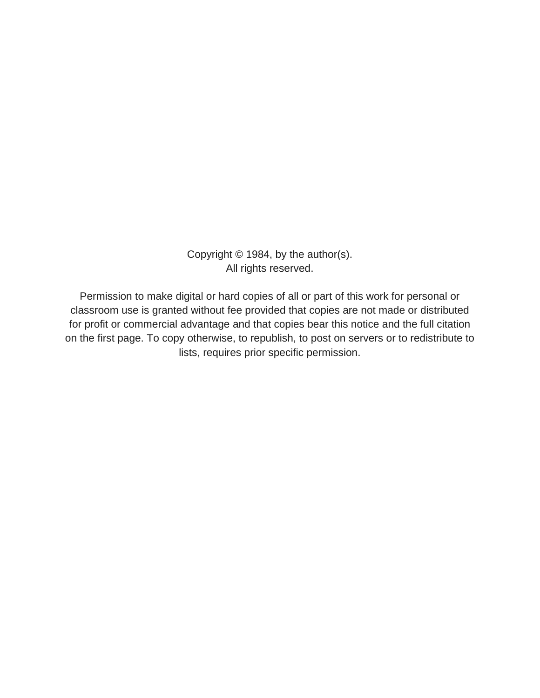Copyright © 1984, by the author(s). All rights reserved.

Permission to make digital or hard copies of all or part of this work for personal or classroom use is granted without fee provided that copies are not made or distributed for profit or commercial advantage and that copies bear this notice and the full citation on the first page. To copy otherwise, to republish, to post on servers or to redistribute to lists, requires prior specific permission.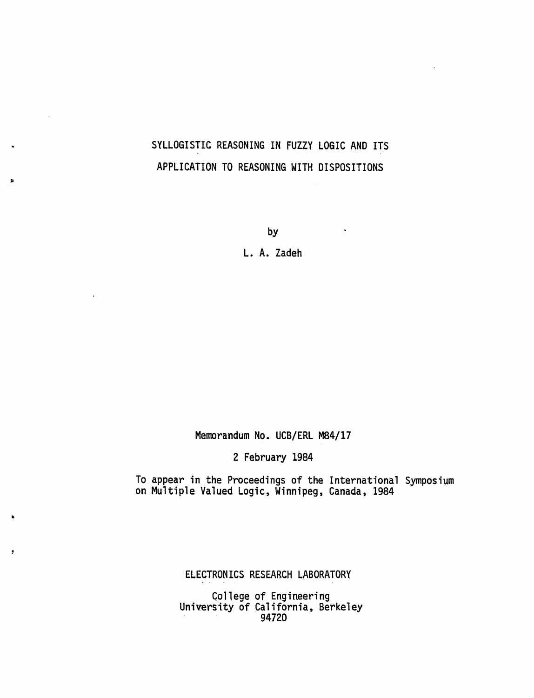# SYLLOGISTIC REASONING IN FUZZY LOGIC AND ITS APPLICATION TO REASONING WITH DISPOSITIONS

by

 $\mathcal{L}^{\text{max}}$  and  $\mathcal{L}^{\text{max}}$ 

L. A. Zadeh

Memorandum No. UCB/ERL M84/17

2 February 1984

To appear in the Proceedings of the International Symposium on Multiple Valued Logic, Winnipeg, Canada, 1984

ELECTRONICS RESEARCH LABORATORY

College of Engineering University of California, Berkeley 94720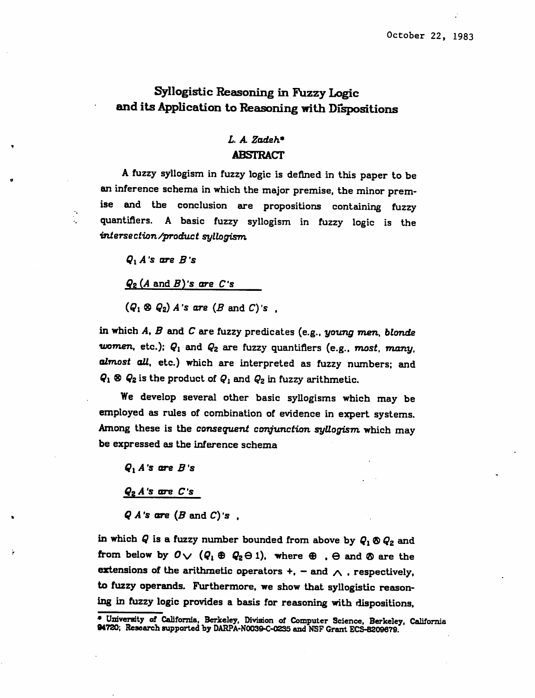## *Syllogistic Reasoning in Fuzzy Logic and its Application to Reasoning with Dispositions*

## *L A Zadeh\* ABSTRACT*

*A fuzzy syllogism in fuzzy logic is defined in this paper to be an inference schema in which the major premise, the minor prem ise and the conclusion are propositions containing fuzzy quantifiers. A basic fuzzy syllogism in fuzzy logic is the intersection/product syllogism*

*Qi A's are B's*

*Qz(A and,g)'s are C's*

*(Qi ® Qz) A's are (B and C)'s ,*

*in which A, B and C are fuzzy predicates (e.g., young men, blonde women, etc.): Qi and Qz are fuzzy quantifiers (e.g., most, many, almost all, etc.) which are interpreted as fuzzy numbers; and*  $Q_1 \otimes Q_2$  is the product of  $Q_1$  and  $Q_2$  in fuzzy arithmetic.

*We develop several other basic syllogisms which may be employed as rules of combination of evidence in expert systems. Among these is the consequent conjunction syllogism which may be expressed as the inference schema*

*Qi A's are B \*s*

*QzA's are C's*

*QA's are (B andC)'s ,*

*in which Q is a fuzzy number bounded from above by Qi © Q2 and from below by*  $0 \vee (Q_1 \oplus Q_2 \ominus 1)$ . where  $\oplus$  ,  $\ominus$  and  $\otimes$  are the *extensions of the arithmetic operators +, —and a • respectively, to fuzzy operands. Furthermore, we show that syllogistic reason ing in fuzzy logic provides a basis for reasoning with dispositions,*

*<sup>\*</sup> University of California, Berkeley, Division of Computer Science, Berkeley, California 94720; Research supported by DARPA-N0039-C-0235 and NSFGrant ECS-8209679.*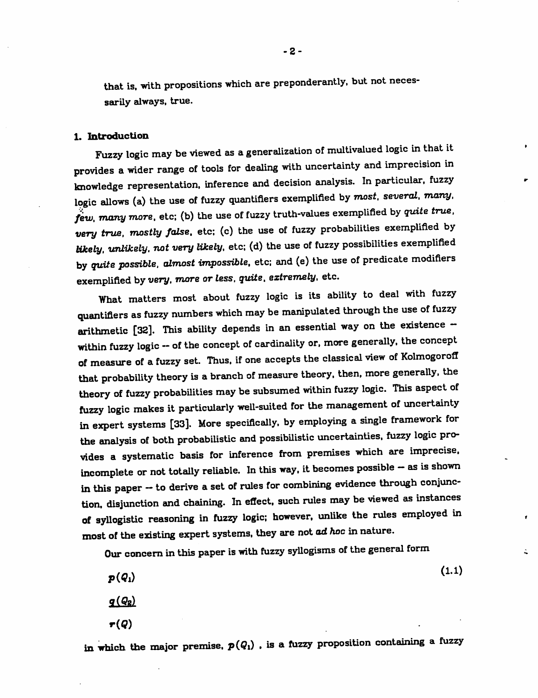that is. with propositions which are preponderantly, but not neces sarily always, true.

#### *1. Introduction*

Fuzzy logic may be viewed as ageneralization of multivalued logic in that it provides a wider range of tools for dealing with uncertainty and imprecision in knowledge representation, inference and decision analysis. In particular, fuzzy logic allows (a) the use of fuzzy quantifiers exemplified by **most, several, many, few, many more,** etc; (b) the use of fuzzy truth-values exemplified by **quite true, very true, mostly false,** etc; (c) the use of fuzzy probabilities exemplified by **Wcely, unlikely, not very likely,** etc; (d) the use of fuzzy possibilities exemplified by **quite possible, almost impossible,** etc; and (e) the use of predicate modifiers *exemplified byvery, more or less, quite, extremely, etc.*

What matters most about fuzzy logic is its ability to deal with fuzzy quantifiers as fuzzy numbers which may be manipulated through the use of fuzzy arithmetic [32]. This ability depends in an essential way on the existence within fuzzy logic -- of the concept of cardinality or, more generally, the concept of measure of a fuzzy set. Thus, if one accepts the classical view of KolmogorofI that probability theory is abranch of measure theory, then, more generally, the theory of fuzzy probabilities may be subsumed within fuzzy logic. This aspect of fuzzy logic makes it particularly well-suited for the management of uncertainty in expert systems [33]. More specifically, by employing a single framework for the analysis of both probabilistic and possibilistic uncertainties, fuzzy logic pro vides a systematic basis for inference from premises which are imprecise, incomplete or not totally reliable. In this way, it becomes possible -- as is shown in this paper -- to derive a set of rules for combining evidence through conjunction, disjunction and chaining. In effect, such rules may be viewed as instances of syllogistic reasoning in fuzzy logic; however, unlike the rules employed in most of the existing expert systems, they are not ad hoc in nature.

Our concern in this paper is with fuzzy syllogisms of the general form

$$
p(Q_1)
$$
\n
$$
q(Q_2)
$$
\n
$$
\boldsymbol{\tau}(Q)
$$
\n(1.1)

å.

in which the major premise,  $p(Q_1)$ , is a fuzzy proposition containing a fuzzy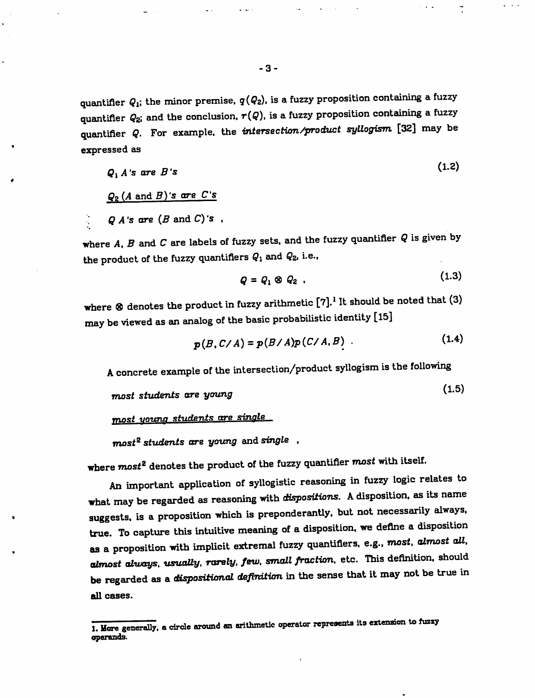*quantifier*  $Q_1$ ; the *minor* premise,  $q(Q_2)$ , is a fuzzy proposition containing a fuzzy *quantifier Q2; and the conclusion, r{Q), is afuzzy proposition containing afuzzy quantifier Q. For example, the intersection/product syllogism [32] may be expressed as*

$$
Q_1 A's are B's
$$
\n
$$
Q_2 (A \text{ and } B)'s are C's
$$
\n
$$
Q A's are (B \text{ and } C)'s
$$

*where A, Band Care labels of fuzzy sets, and the fuzzy quantifier Qis given by the product of the fuzzy quantifiers Qi and Qz, i.e.,*

$$
Q = Q_1 \otimes Q_2 \tag{1.3}
$$

*where <3 denotes the product in fuzzy arithmetic [7].1 It should be noted that (3) may be viewed as an analog of the basic probabilistic identity [15]*

$$
p(B, C/A) = p(B/A)p(C/A, B) \tag{1.4}
$$

*Aconcrete example of the intersection/product syllogism is the following*

*(1.5) most students are young <sup>v</sup>*

*mast young students ore single*

*most2 students are young and single ,*

*where most2 denotes the product of the fuzzy quantifier most with itself.*

*An important application of syllogistic reasoning in fuzzy logic relates to what* may be regarded as reasoning with *dispositions*. A disposition, as its name *suggests, is aproposition which is preponderantly, but not necessarily always, true. To capture this intuitive meaning of adisposition, we define adisposition as aproposition with implicit extremal fuzzy quantifiers, e.g.. most, almost all, almost always, usuaUy, rarely, few, small fraction, etc. This definition, should be regarded as adispositional definition in the sense that it may not be true in all cases.*

*<sup>1.</sup> Hare generally, acircle around an arithmetic operator represents its extension to fuzzy operands.*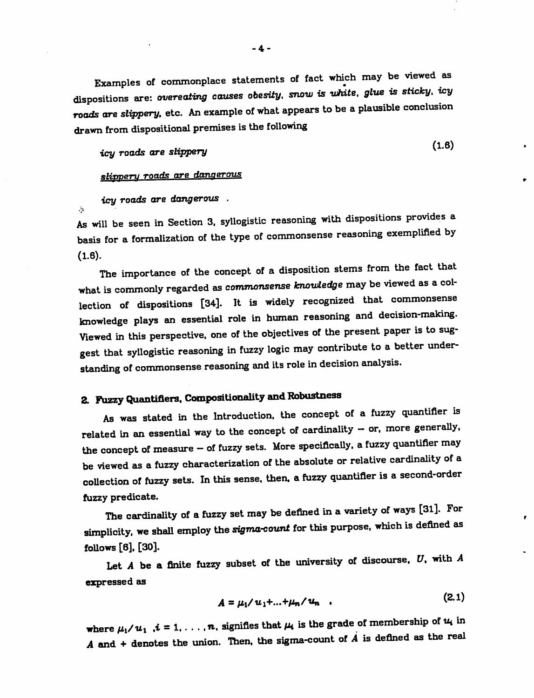*Examples of commonplace statements of fact which may be viewed as dispositions are: overeating causes obesity, snow is white, glue is sticky, icy roads are slippery, etc. An example of what appears to be aplausible conclusion drawn from dispositional premises is the following*

*icy roads are sappery*

 $(1.6)$ 

 $\mathbf{r}$ 

### *slippery roads are dangerous*

*icy roads are dangerous .*

 $\mathcal{L}_{\mathcal{L}}$ 

*As will be seen in Section 3. syllogistic reasoning with dispositions provides a basis for a formalization of the type of commonsense reasoning exemplified by (1.6).*

*The importance of the concept of adisposition stems from the fact that what is commonly regarded as commonsense knowledge may be viewed as acol lection of dispositions [34]. It is widely recognized that commonsense knowledge plays an essential role in human reasoning and decision-making. Viewed in this perspective, one of the objectives of the present paper is to sug gest that syllogistic reasoning in fuzzy logic may contribute to abetter under standing of commonsense reasoning and its role in decision analysis.*

# *2. Fuzzy Quantifiers. Compositionality andRobustness*

*As was stated in the Introduction, the concept of a fuzzy quantifier is related in an essential way to the concept of cardinality - or, more generally, the concept of measure - of fuzzy sets. More specifically, afuzzy quantifier may be viewed as afuzzy characterization of the absolute or relative cardinality of a collection of fuzzy sets. In this sense, then, afuzzy quantifier is asecond-order fuzzy predicate.*

*The cardinality of afuzzy set may be denned in avariety of ways [31]. For simplicity, we shall employ the sigma-count for this purpose, which is denned as follows [6], [30].*

*Let Abe a finite fuzzy subset of the university of discourse. V. with A expressed as*

$$
A = \mu_1 / u_1 + ... + \mu_n / u_n \quad . \tag{2.1}
$$

where  $\mu_1/\mu_1$ ,  $i = 1, ..., n$ , signifies that  $\mu_i$  is the grade of membership of  $u_i$  in <br>*A* and + denotes the union. Then, the sigma-count of *A* is defined as the real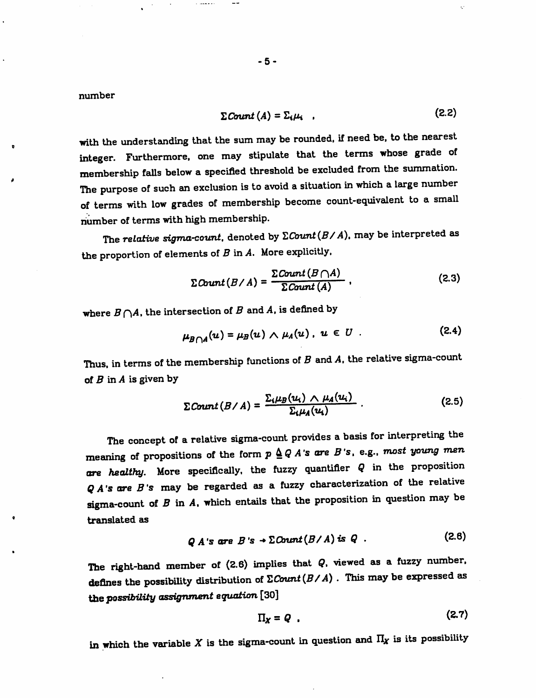*number*

$$
\sum \text{Count}(A) = \sum_i \mu_i \quad . \tag{2.2}
$$

*with the understanding that the sum may be rounded, if need be. to the nearest integer. Furthermore, one may stipulate that the terms whose grade of membership fails below a specified threshold be excluded from the summation. The purpose of such an exclusion is to avoid asituation in which alarge number of terms with low grades of membership become count-equivalent to a small number of terms with high membership.*

*The relative sigma-count, denoted by ZCount(B/A), may be interpreted as the proportion ofelements ofB inA. More explicitly.*

$$
\Sigma \text{Count}(B/A) = \frac{\Sigma \text{Count}(B \cap A)}{\Sigma \text{Count}(A)} \tag{2.3}
$$

where  $B \bigcap A$ , the intersection of  $B$  and  $A$ , is defined by

المعصب ال

$$
\mu_{B \cap A}(u) = \mu_B(u) \wedge \mu_A(u), \ u \in U \ . \tag{2.4}
$$

*Thus, in terms of the membership functions of Band A, the relative sigma-count of B in A is given by*

$$
\Sigma \text{Count}(B/A) = \frac{\Sigma_i \mu_B(u_i) \wedge \mu_A(u_i)}{\Sigma_i \mu_A(u_i)} \,. \tag{2.5}
$$

*The concept of arelative sigma-count provides abasis for interpreting the meaning* of propositions of the form  $p \triangle Q A$ 's are  $B$ 's, e.g., most young men *are healthy. More specifically, the fuzzy quantifier Q in the proposition QA's are B's may be regarded as a fuzzy characterization of the relative sigma-count of Bin A, which entails that the proposition in question may be translated as*

$$
QA's \text{ are } B's \rightarrow \Sigma Count(B/A) \text{ is } Q \quad . \tag{2.6}
$$

*The right-hand member of (2.6) implies that Q, viewed as a fuzzy number, defines the possibiUty distribution of ZCount (B/A) . This may be expressed as thepossibility assignment equation [30]*

$$
\Pi_X = Q \tag{2.7}
$$

*in which the variable Xis the sigma-count in question and II, is its possibility*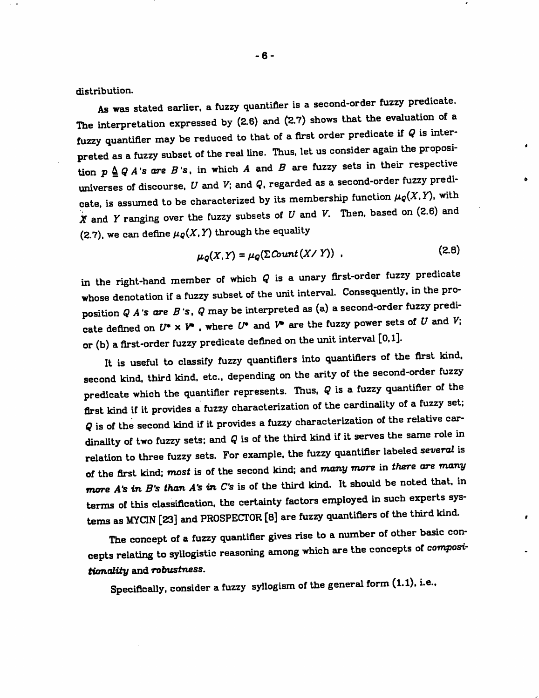*distribution.*

*As was stated earlier, afuzzy quantifier is asecond-order fuzzy predicate. The interpretation expressed by (2.6) and (2.7) shows that the evaluation of a fuzzy quantifier may be reduced to that of afirst order predicate if Qis inter preted as afuzzy subset of the real line. Thus, let us consider again the proposi tion*  $p \triangle Q A$ 's are  $B$ 's, in which  $A$  and  $B$  are fuzzy sets in their respective *universes of discourse. Vand V; and <?. regarded as asecond-order fuzzy predi cate,* is assumed to be characterized by its membership function  $\mu_{\mathcal{Q}}(X, Y)$ , with *Xand Yranging over the fuzzy subsets of Uand V. Then, based on (3.6) and (2.7)*, we can define  $\mu_{Q}(X, Y)$  through the equality

$$
\mu_Q(X,Y) = \mu_Q(\Sigma \text{Count}(X/Y)) \tag{2.8}
$$

 $\bullet$ 

*in the right-hand member of which Qis a unary first-order fuzzy predicate whose denotation ifafuzzy subset of the unit interval. Consequently, in the pro position QA's are B's. Qmay be interpreted as (a) asecond-order fuzzy predi cate defined on WxV .where V and V are the fuzzy power sets of Uand V; or (b) afirst-order fuzzy predicate defined on the unit interval [0.1].*

*It is useful to classify fuzzy quantifiers into quantifiers of the first kind, second kind, third kind. etc.. depending on the arity of the second-order fuzzy predicate* which the quantifier represents. Thus,  $Q$  is a fuzzy quantifier of the *first kind if it provides afuzzy characterization of the cardinality of afuzzy set; Qis of the second kind if it provides afuzzy characterization of the relative car* **dinality** of two fuzzy sets; and  $Q$  is of the third kind if it serves the same role in *relation to three fuzzy sets. For example, the fuzzy quantifier labeled several is of the first kind; most is of the second kind; and many more in there are many more A's in B's than A's in C's* is of the third kind. It should be noted that, in *terms of this classification, the certainty factors employed in such experts sys tems as MYCIN [23] and PROSPECTOR [8] are fuzzy quantifiers of the third kind.*

*The concept of afuzzy quantifier gives rise to anumber of other basic con cepts relating to syllogistic reasoning among which are the concepts of composttumality and robustness.*

*Specifically, consider afuzzy syllogism of the general form (1.1). i.e..*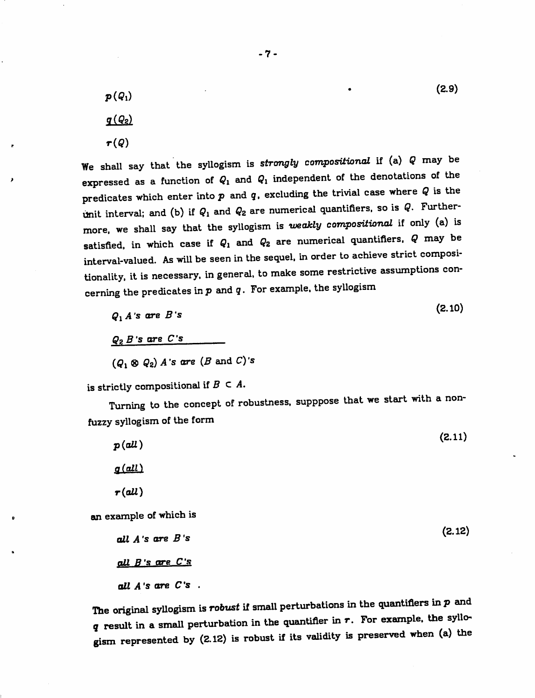$(2.9)$  $p(Q_1)$  $q(Q_2)$ *r(9)*

*We shall say that the syllogism is strongly compositional if (a) Qmay be* expressed as a function of  $Q_1$  and  $Q_1$  independent of the denotations of the *predicates which enter into p and g. excluding the trivial case where Qis the unit* interval; and (b) if  $Q_1$  and  $Q_2$  are numerical quantifiers, so is  $Q$ . Further*more, we shall say that the syllogism is weakly compositional if only (a) is* satisfied, in which case if  $Q_1$  and  $Q_2$  are numerical quantifiers,  $Q$  may be *interval-valued. As will be seen in the sequel, in order to achieve strict compositionality. itis necessary, in general, to make some restrictive assumptions con cerning the predicates inp and g. For example, the syllogism*

$$
Q_1 A' \text{ s are } B' \text{ s} \tag{2.10}
$$

*QaB's are C's*

*(Ci ® Qz) A's are (B and C)'s*

is strictly compositional if  $B \subset A$ .

*Turning to the concept of robustness, supppose that we start with anonfuzzy syllogism of the form*

| p(all)                 | (2.11) |
|------------------------|--------|
| $q(\text{all})$        |        |
| $\tau$ (all)           |        |
| an example of which is |        |
| all $A$ 's are $B$ 's  | (2.12) |
| all B's are C's        |        |
| all $A$ 's are $C$ 's. |        |

*The original syllogism is robust if small perturbations in the quantifiers in pand gresult in asmall perturbation in the quantifier in r. For example, the syllo^ gism represented by (2.12) is robust if its validity is preserved when (a) the*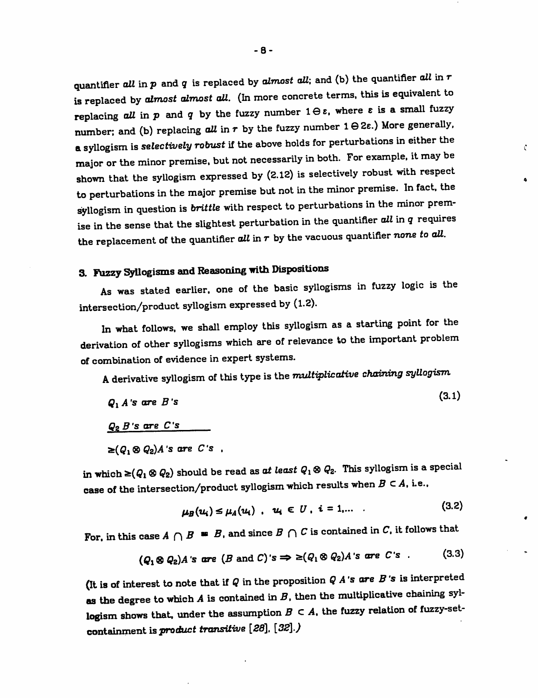quantifier **all** in **p**and **q**is replaced by **almost all',** and (b) the quantifier **all** in **r** is replaced by **almost almost all.** (In more concrete terms, this is equivalent to replacing all in  $p$  and  $q$  by the fuzzy number  $1 \ominus \varepsilon$ , where  $\varepsilon$  is a small fuzzy number; and (b) replacing  $all$  in  $r$  by the fuzzy number  $1 \ominus 2\varepsilon$ .) More generally, *a*syllogism is **selectively robust** if the above holds for perturbations in either the major or the minor premise, but not necessarily in both. For example, it may be shown that the syllogism expressed by (2.12) is selectively robust with respect to perturbations in the major premise but not in the minor premise. In fact, the syllogism in question is **brittle** with respect to perturbations in the minor prem ise in the sense that the slightest perturbation in the quantifier **all** in **q**requires the replacement of the quantifier **all** in r by the vacuous quantifier **none to all.**

Ċ.

 $\bullet$ 

 $\bullet$ 

## *3. F\izzy Syllogisms and Reasoning with* Dispositions

As was stated earlier, one of the basic syllogisms in fuzzy logic is the intersection/product syllogism expressed by (1.2).

In what follows, we shall employ this syllogism as a starting point for the derivation of other syllogisms which are of relevance to the important problem of combination of evidence in expert systems.

A derivative syllogism of this type is the *multiplicative chaining* syllogism

$$
Q_1 A' s \text{ are } B' s \tag{3.1}
$$

*Qc>B's are C's*

 $\geq (Q_1 \otimes Q_2)A$ 's are C's ,

in which  $\geq$ ( $Q_1 \otimes Q_2$ ) should be read as at least  $Q_1 \otimes Q_2$ . This syllogism is a special case of the intersection/product syllogism which results when  $B \subset A$ , i.e.,

$$
\mu_B(u_i) \le \mu_A(u_i) \quad u_i \in U \quad i = 1, \ldots \tag{3.2}
$$

For, in this case  $A \cap B$  =  $B$ , and since  $B \cap C$  is contained in  $C$ , it follows that

$$
(Q_1 \otimes Q_2)A
$$
's are  $(B \text{ and } C)$ 's  $\Rightarrow \geq (Q_1 \otimes Q_2)A$ 's are C's . (3.3)

(It *is* of interest to note that if **Q**in the proposition **QA's are B's** is interpreted *as the* degree to which **A**is contained in **B,** then the multiplicative chaining syl logism shows that, under the assumption  $B \subset A$ , the fuzzy relation of fuzzy-set*containment isproduct transitive [28], [32].)*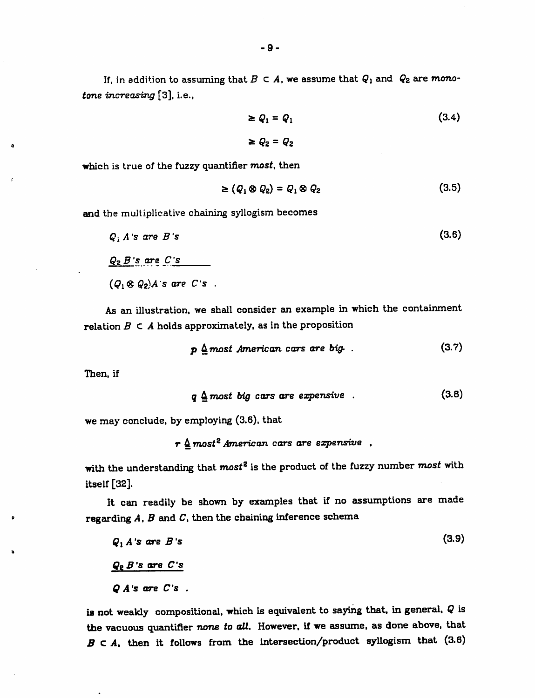*If,* in addition to assuming that  $B \subset A$ , we assume that  $Q_1$  and  $Q_2$  are mono*tone* **increasing** [3], i.e.,

$$
\geq Q_1 = Q_1 \tag{3.4}
$$
\n
$$
\geq Q_2 = Q_2
$$

*which is true of the fuzzy quantifier most, then*

$$
\geq (Q_1 \otimes Q_2) = Q_1 \otimes Q_2 \tag{3.5}
$$

*and the multiplicative chaining syllogism becomes*

$$
Q_1 A's are B's
$$
\n
$$
Q_2 B's are C's
$$
\n
$$
(Q_1 \otimes Q_2)A's are C's
$$

*As an illustration, we shall consider an example in which the containment relation B c A holds approximately, as in the proposition*

$$
p \nleq most American cars are big.
$$
 (3.7)

*Then, if*

 $\bar{z}$ 

$$
q \triangleq most big cars are expensive . \qquad (3.8)
$$

*we may conclude, by employing (3.6), that*

r 4 **most2American cars are expensive** ,

*with the understanding that most2 is the product of the fuzzy number most with itself [32].*

*It can readily be shown by examples that if no assumptions are made regarding A, B and C, then the chaining inference schema*

 $Q_1 A$ 's are  $B$ 's (3.9) *QzB's are C's Q A's are C's .*

*is not weakly compositional, which is equivalent to saying that, in general, Q is the vacuous quantifier none to all. However, if we assume, as done above, that B C A% then it follows from the intersection/product syllogism that (3.6)*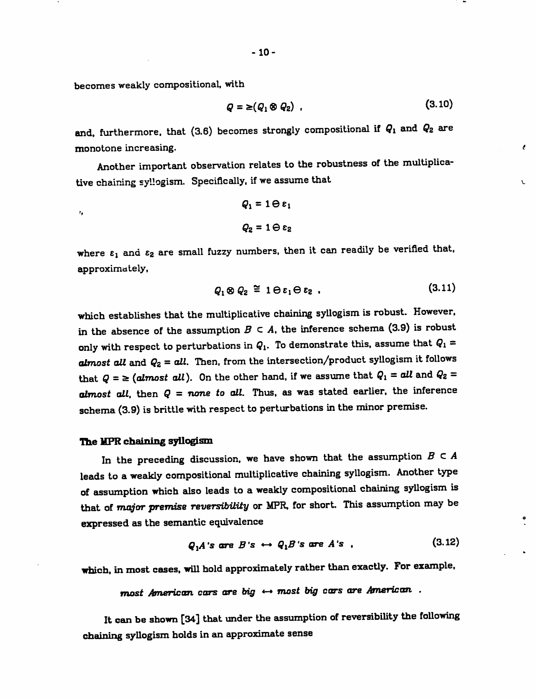*becomes weakly compositional, with*

 $\mathbf{r}_t$ 

$$
Q = \geq (Q_1 \otimes Q_2) \tag{3.10}
$$

 $\epsilon$ 

L

*and, furthermore, that (3.6) becomes strongly compositional if Qx and Qz are monotone increasing.*

*Another important observation relates to the robustness of the multiplica tive chaining syllogism. Specifically, if we assume that*

$$
Q_1 = 1 \ominus \varepsilon_1
$$

$$
Q_2 = 1 \ominus \varepsilon_2
$$

*where tx and £2 are small fuzzy numbers, then it can readily be verified that, approximately,*

$$
Q_1 \otimes Q_2 \stackrel{\simeq}{=} 1 \ominus \varepsilon_1 \ominus \varepsilon_2 \tag{3.11}
$$

*which establishes that the multiplicative chaining syllogism is robust. However,* in the absence of the assumption  $B \subset A$ , the inference schema (3.9) is robust *only* with respect to perturbations in  $Q_1$ . To demonstrate this, assume that  $Q_1 =$ *almost alt and Qz - oil- Then, from the intersection/productsyllogism it follows that*  $Q = \geq (almost all)$ . On the other hand, if we assume that  $Q_1 = all$  and  $Q_2 =$ *almost all, then Q = none to all. Thus, as was stated earlier, the inference schema(3.9) is brittle with respect to perturbations inthe minor premise.*

#### *The MPR chaining syllogism*

In the preceding discussion, we have shown that the assumption  $B \subset A$ *leads to aweakly compositional multiplicative chaining syllogism. Another type of assumption which also leads to a weakly compositional chaining syllogism is that of major premise reversibility or MPR, for short. This assumption may be expressed as the semantic equivalence*

$$
Q_1 A \text{ is are } B \text{ is } \leftrightarrow Q_1 B \text{ is are } A \text{ is } \qquad (3.12)
$$

*which, in most cases, will hold approximately ratherthanexactly. For example,*

*most American cars are big «-\* most big cars are American .*

*It canbe shown [34] that under the assumption ofreversibility the following chaining syllogism holds in an approximate sense*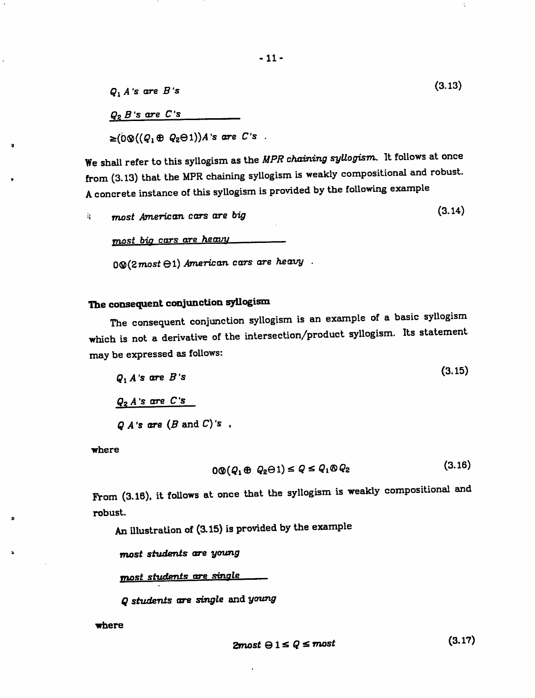$Q_1 A$ 's are *B*'s (3.13) *QpB 's are C's*

 $\geq (0 \otimes ((Q_1 \oplus Q_2 \ominus 1))A$ 's are *C*'s.

We shall refer to this syllogism as the **MPR chaining syUogism.** It follows at once from (3.13) that the MPR chaining syllogism is weakly compositional and robust. Aconcrete instance of this syUogism is provided by the following example

 $\frac{1}{2}$  **most** American cars are big  $(3.14)$ 

*most bin rmrs are heavy .*

*0®(2most 01) American cars are heavy .*

## *The consequent conjunction syllogism*

The consequent conjunction syllogism is an example of a basic syllogism which is not a derivative of the intersection/product syllogism. Its statement may be expressed as follows:

$$
Q_1 A' s \text{ are } B' s
$$
\n
$$
Q_2 A' s \text{ are } C' s
$$
\n
$$
Q A' s \text{ are } (B \text{ and } C)' s
$$

where

$$
0\mathfrak{D}(Q_1 \oplus Q_2 \ominus 1) \leq Q \leq Q_1 \mathfrak{D} Q_2 \tag{3.16}
$$

From (3.16), it follows at once that the syllogism is weakly compositional and robust.

An illustration of (3.15) is provided by the example

*most students are young*

*most students are single* 

*Q students are single and young*

*where*

$$
2most \Theta 1 \le Q \le most \tag{3.17}
$$

t,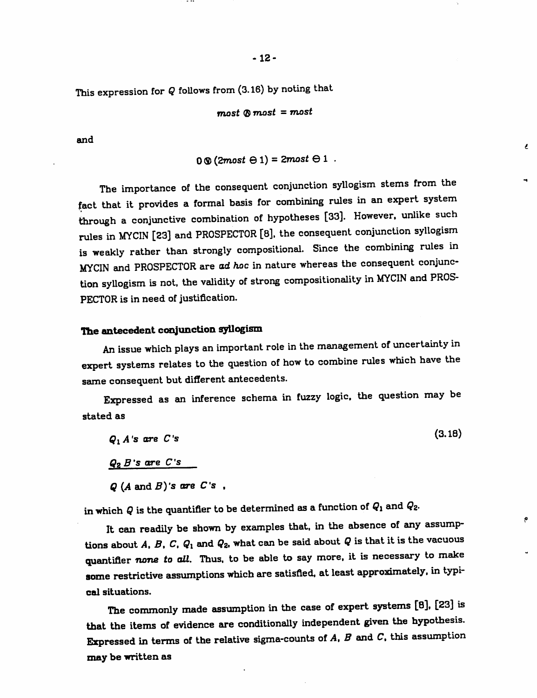This expression for Q follows from (3.16) by noting that

$$
most \otimes most = most
$$

and

*0 ®(2most © 1) = 2most © 1 .*

 $\epsilon$ 

 $\bullet$ 

The importance of the consequent conjunction syllogism stems from the fact that it provides a formal basis for combining rules in an expert system through a conjunctive combination of hypotheses [33]. However, unlike such rules in MYCIN [23] and PROSPECTOR [8], the consequent conjunction syllogism is weakly rather than strongly compositional. Since the combining rules in MYCIN and PROSPECTOR are **ad hoc** in nature whereas the consequent conjunc tion syUogism is not. the validity of strong compositionality in MYCIN and PROS PECTOR is in need of justification.

## *The antecedent conjunction syllogism*

An issue which plays an important role in the management of uncertainty in expert systems relates to the question of how to combine rules which have the same consequent but different antecedents.

Expressed as an inference schema in fuzzy logic, the question may be stated as

 $Q_1 A$ 's are *C*'s (3.18) *Q? B's are C's Q (AandB)'s ore C's ,*

in which  $Q$  is the quantifier to be determined as a function of  $Q_1$  and  $Q_2$ .

It can readily be shown by examples that, in the absence of any assump tions about  $A$ ,  $B$ ,  $C$ ,  $Q_1$  and  $Q_2$ , what can be said about  $Q$  is that it is the vacuous quantifier **none to all.** Thus, to be able to say more, it is necessary to make *some* restrictive assumptions which are satisfied, at least approximately, in typi cal situations.

*The* commonly made assumption in the case of expert systems [8], [23] is *that* the items of evidence are conditionally independent given the hypothesis. Expressed in terms of the relative sigma-counts of **A, B**and C. this assumption *may* be *written* as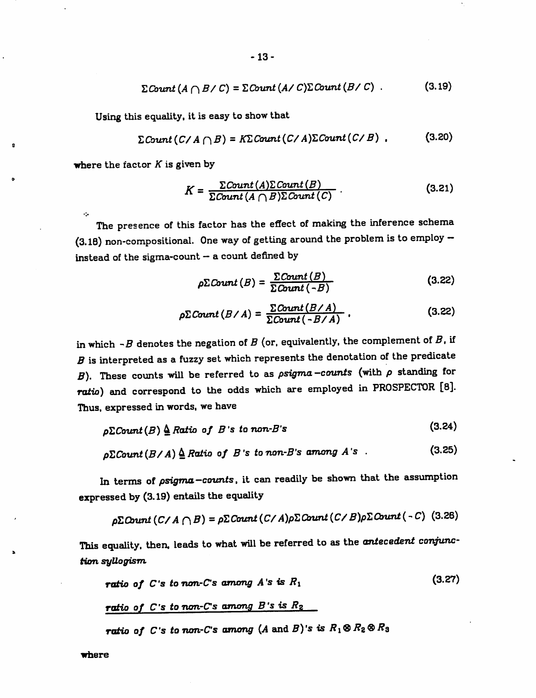$$
\Sigma \text{Count} \left( A \cap B / C \right) = \Sigma \text{Count} \left( A / C \right) \Sigma \text{Count} \left( B / C \right) \ . \tag{3.19}
$$

*Using this equaUty, it is easy to show that*

$$
\Sigma \text{Count}(C/A \cap B) = K \Sigma \text{Count}(C/A) \Sigma \text{Count}(C/B) \tag{3.20}
$$

*where the factor K is given by*

 $\mathcal{L}_{\mathbf{p}}$ 

 $\Omega$ 

$$
K = \frac{\sum Count(A) \sum Count(B)}{\sum Count(A \cap B) \sum Count(C)}.
$$
 (3.21)

*The presence of this factor has the effect of making the inference schema (3.18) non-compositional. One way of getting around the problem is to employ instead of the sigma-count - a count defined by*

$$
\rho \Sigma \text{Count}(B) = \frac{\Sigma \text{Count}(B)}{\Sigma \text{Count}(-B)} \tag{3.22}
$$

$$
\rho \Sigma \text{Count} (B / A) = \frac{\Sigma \text{Count} (B / A)}{\Sigma \text{Count} (-B / A)} \, . \tag{3.22}
$$

*inwhich -B denotes the negation ofB (or, equivalently, the complement ofB, if Bis interpreted as a fuzzy setwhich represents the denotation of the predicate B*). These counts will be referred to as  $\rho$ sigma-counts (with  $\rho$  standing for *ratio) and correspond to the odds which are employed in PROSPECTOR [8]. Thus, expressed in words, we have*

$$
\rho \Sigma Count(B) \stackrel{\Delta}{\triangle} Ratio \text{ of } B \text{'s to non-B's}
$$
\n(3.24)

$$
\rho \Sigma \text{Count}(B/A) \triangleq \text{Ratio of } B \text{ 's to non-B's among } A \text{ 's } . \tag{3.25}
$$

*In terms of psigma-counts, it can readily be shown that the assumption expressed by (3.19) entails the equality*

$$
\rho \Sigma \text{Count}(C/A \cap B) = \rho \Sigma \text{Count}(C/A) \rho \Sigma \text{Count}(C/B) \rho \Sigma \text{Count}(-C)
$$
 (3.26)

*This equality, then, leads towhat will be referred to as the antecedent conjunc tion syllogism*

*ratio of C*'s *to non-C*'s *among*  $A$ 's *is*  $R_1$  (3.27)

ratio of C's to non-C's among B's is 
$$
R_2
$$

*ratio of C*'s *to non-C*'s *among*  $(A \text{ and } B)$ 's *is*  $R_1 \otimes R_2 \otimes R_3$ 

*where*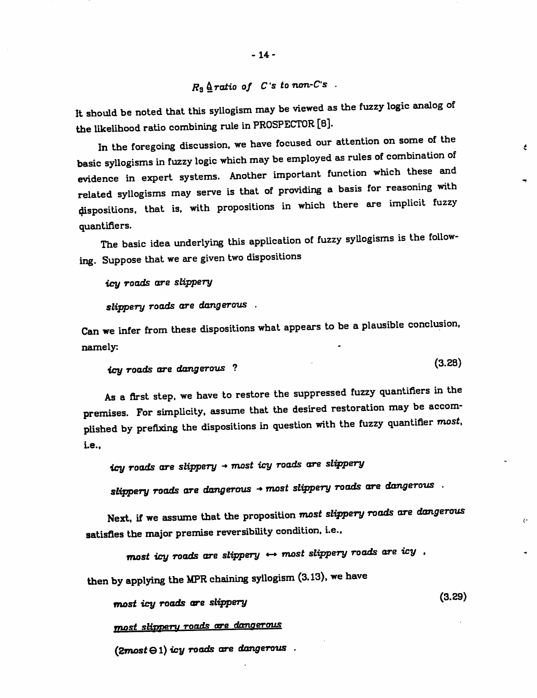# $R_3 \triangleq$ ratio of  $C$ 's tonon- $C$ 's.

It should be noted that this syllogism may be viewed as the fuzzy logic analog of the likelihood ratio combining rule in PROSPECTOR [8].

In the foregoing discussion, we have focused our attention on some of the basic syllogisms in fuzzy logic which may be employed as rules of combination of evidence in expert systems. Another important function which these and related syllogisms may serve is that of providing a basis for reasoning with dispositions, that is. with propositions in which there are implicit fuzzy quantifiers.

 $\epsilon$ 

 $\mathbf{v}$ 

The basic idea underlying this application of fuzzy syllogisms is the following. Suppose that we are given two dispositions

*icy roads are slippery*

*slippery roads are dangerous .*

Can we infer from these dispositions what appears to be a plausible conclusion, namely.

```
icy roads are dangerous ? \ • /
```
As a first step, we have to restore the suppressed fuzzy quantifiers in the premises. For simplicity, assume that the desired restoration may be accomplished by prefixing the dispositions in question with the fuzzy quantifier most, i.e.,

*icy roads are slippery -» most icy roads are slippery*

*slippery roads are dangerous - most slippery roads are dangerous .*

Next, if we assume that the proposition **most slippery roads are dangerous** satisfies the major premise reversibility condition, i.e.,

*most icy roads are slippery «- most slippery roads are icy .*

then by applying the MPR chaining syllogism (3.13), we have

(3.29) *most icy roads are slippery*

*most slippery to\*"\*\* "•« dangerous*

*(ZmostGl) icy roads are dangerous .*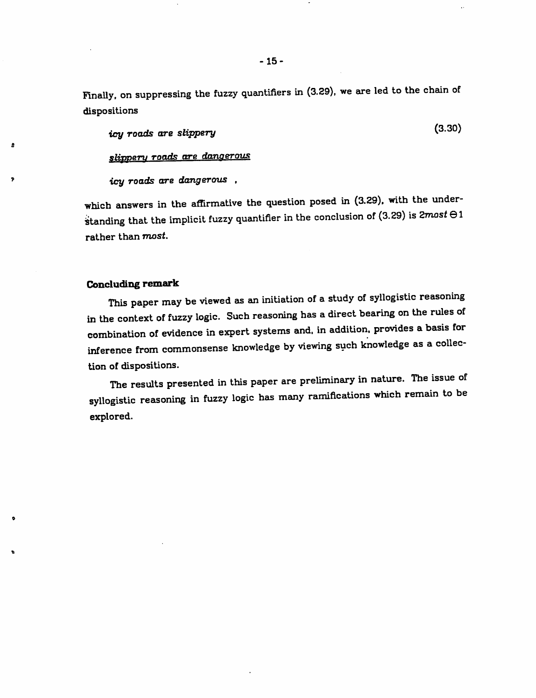Finally, on suppressing the fuzzy quantifiers in (3.29), we are led to the chain of dispositions

*icy roads* are *slippery* **that is a substitute of the state of**  $(3.30)$ 

*slippery roads are dangerous*

*icy roads are dangerous ,*

which answers in the affirmative the question posed in (3.29). with the under standing that the implicit fuzzy quantifier in the conclusion of (3.29) is  $2most \Theta1$ rather than **most.**

### *Concluding remark*

в

This paper may be viewed as an initiation of a study of syllogistic reasoning in the context of fuzzy logic. Such reasoning has adirect bearing on the rules of combination of evidence in expert systems and. in addition, provides a basis for inference from commonsense knowledge by viewing such knowledge as a collection of dispositions.

The results presented in this paper are preliminary in nature. The issue of syllogistic reasoning in fuzzy logic has many ramifications which remain to be explored.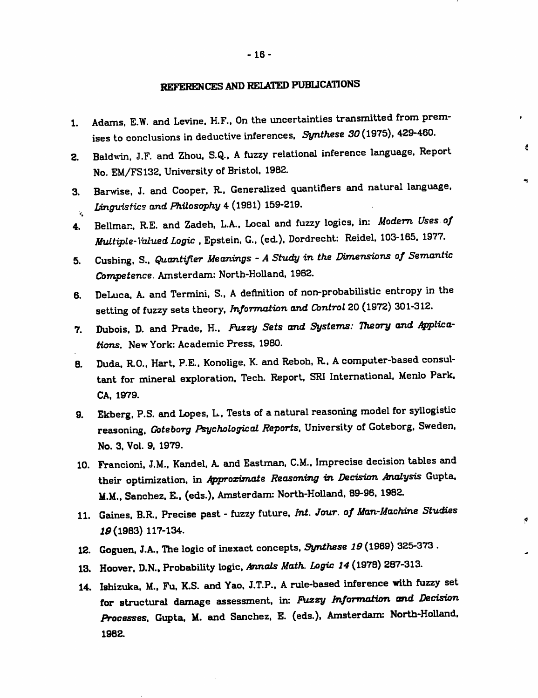## *REFERENCES AND RELATED PUBLICATIONS*

*1. Adams, E.W. and Levine. H.F.. On the uncertainties transmitted from prem ises to conclusions in deductive inferences. Synthese 30(1975). 429-460.*

 $\bullet$ 

 $\epsilon$ 

 $\blacktriangleleft$ 

- *2. Baldwin, J.F. and Zhou. S.Q.. A fuzzy relational inference language. Report No. EM/FS132, University of Bristol. 1982.*
- *3. Barwise. J. and Cooper. R.. Generalized quantifiers and natural language,* **Linguistics and Philosophy** 4 (1981) 159-219. Ý.
- *4. Bellman, R.E. and Zadeh. L.A.. Local and fuzzy logics, in: Modem Uses of Multiple-Valued Logic .Epstein, G.. (ed.), Dordrecht: Reidel, 103-165. 1977.*
- 5. Cushing. S.. **Quantifier Meanings** -**AStudy in the Dimensions of Semantic** *Competence. Amsterdam: North-HoUand, 1982.*
- *6. DeLuca. A. and Termini. S.. A definition of non-probabilistic entropy in the setting of fuzzy sets theory, Information and Control 20 (1972) 301-312.*
- 7. Dubois, D. and Prade, H., Fuzzy Sets and Systems: Theory and Applica*tions. New York: Academic Press. 1980.*
- *B. Duda. R.O.. Hart. P.E.. Konolige, K and Reboh, R.. Acomputer-based consul tant for mineral exploration, Tech. Report, SRI International, Menlo Park. CA, 1979.*
- *9. Ekberg. P.S. and Lopes, L, Tests of anatural reasoning model for syllogistic reasoning. Goteborg Psychological Reports, University of Goteborg. Sweden, No. 3, Vol. 9. 1979.*
- *10. Francioni. J.M.. Kandel. A and Eastman. CM.. Imprecise decision tables and* their optimization, in **Approximate Reasoning in Decision Analysis** Gupta, *M.M., Sanchez. E.. (eds.), Amsterdam: North-HoUand. 89-96, 1982.*
- *11. Gaines. B.R.. Precise past - fuzzy future, Int. Jour, of Man-Machine Studies 19 (1983) 117-134.*
- *12. Goguen, J.A., The logic of inexact concepts, Synthese 19 (1969) 325-373 .*
- *13. Hoover. D.N.. Probability logic, Annals Math. logic 14 (1978) 287-313.*
- *14. Ishizuka, M.. Fu, K.S. and Yao. J.T.P., A rule-based inference with fuzzy set for structural damage assessment, in: Pozzy Information and Decision Processes, Gupta, M. and Sanchez. E. (eds.), Amsterdam: North-Holland. 1982.*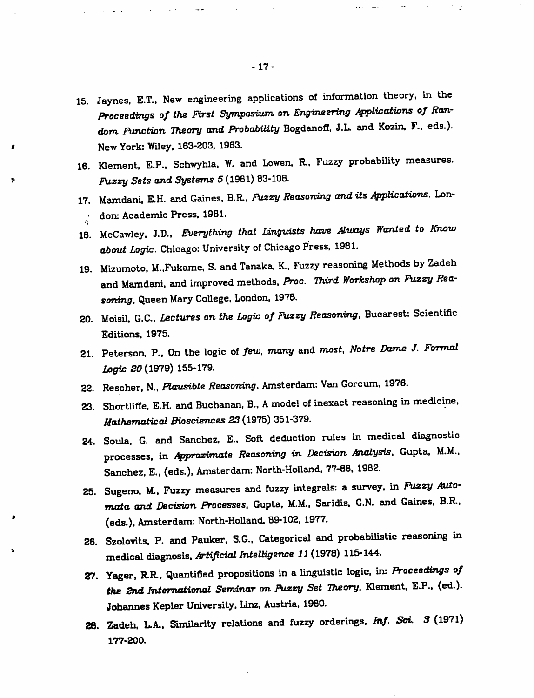- *15. Jaynes, E.T., New engineering appUcations of information theory, in the Proceedings* of the *First Symposium* on *Engineering* Applications of Ran*dom Function Theory and Probability Bogdanoff. J.L. and Kozin, F., eds.). New York: Wiley. 163-203. 1963.*
- *16. Klement. E.P.. Schwyhla. W. and Lowen. R.. Fuzzy probability measures. Fuzzy Sets and Systems 5 (1981) 83-108.*
- *17. Mamdani, E.H. and Gaines, B.R. Fuzzy Reasoning and itsApplications. Lon- • don: Academic Press, 1981.*
- *18. McCawley. J.D., Everything that Linguists have Always Wanted to Know about Logic. Chicago: University ofChicago Press, 1981.*
- *19. Mizumoto, M..Fukame, S. and Tanaka, K.. Fuzzy reasoning Methods by Zadeh and Mamdani, and improved methods, Proc. Third Workshop on Fuzzy Rea soning, Queen Mary CoUege, London, 1978.*
- *20. Moisii, G.C.. Lectures on the Logic ofFuzzy Reasoning, Bucarest: Scientific Editions, 1975.*
- *21. Peterson, P.. On the logic of few, many and most, Notre Dame J. Formal Logic 20(1979) 155-179.*
- *22. Rescher, N., Plausible Reasoning. Amsterdam: Van Gorcum, 1976.*
- *23. Shortliffe, E.H. and Buchanan, B.. Amodel ofinexact reasoning in medicine, Mathematical Biosciences 23 (1975) 351-379.*
- *24. Soula, G. and Sanchez, E., Soft deduction rules in medical diagnostic processes, in Approximate Reasoning in Decision Analysis, Gupta, M.M.. Sanchez. E.. (eds.). Amsterdam: North-Holland, 77-88. 1982.*
- *25. Sugeno. M.. Fuzzy measures and fuzzy integrals: a survey, in Fuzzy Auto mata and Decision Processes, Gupta. M.M.. Saridis. G.N. and Gaines, B.R., (eds.), Amsterdam: North-HoUand, 89-102. 1977.*
- *26. Szoiovits, P. and Pauker. S.G.. Categorical and probabiUstic reasoning in medical diagnosis, Artificial Intelligence 11 (1978) 115-144.*
- 27. Yager, R.R., Quantified propositions in a linguistic logic, in: Proceedings of *the 2nd International Seminar on Fuzzy Set Theory, Klement, E.P., (ed.). Johannes Kepler University. Linz. Austria, 1980.*
- *2B. Zadeh. L.A.. Similarity relations and fuzzy orderings, Inf. Set 3 (1971) 177-200.*